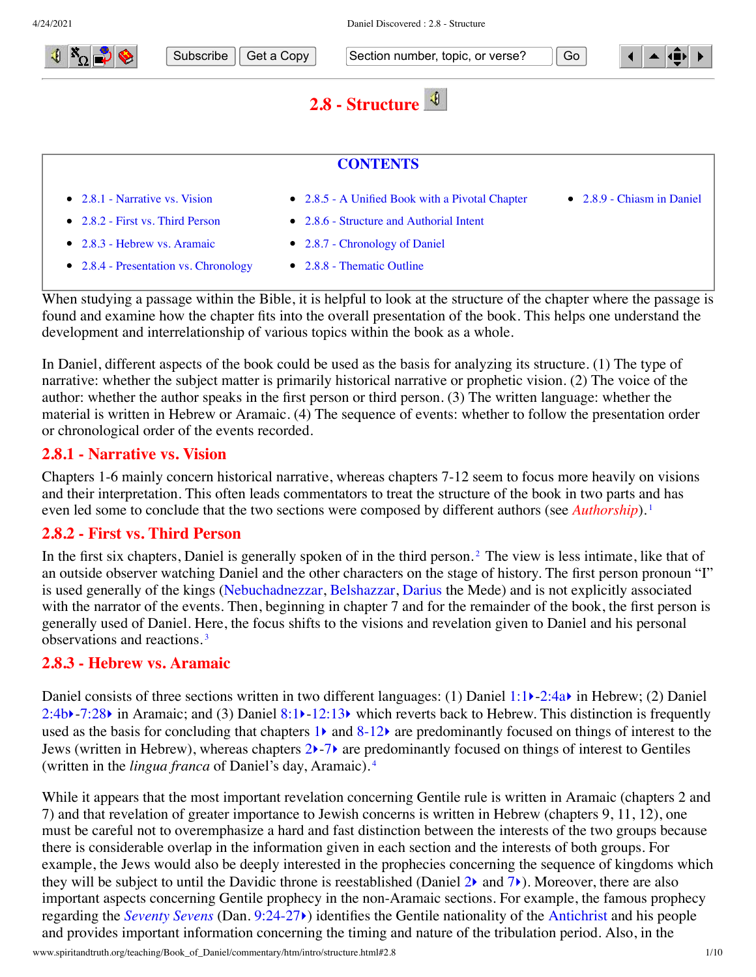

- [2.8.2 First vs. Third Person](#page-0-1)
- [2.8.6 Structure and Authorial Intent](#page-1-2)
- [2.8.3 Hebrew vs. Aramaic](#page-0-2)
- [2.8.4 Presentation vs. Chronology](#page-1-0)
- <span id="page-0-4"></span><span id="page-0-3"></span><span id="page-0-1"></span><span id="page-0-0"></span>[2.8.7 - Chronology of Daniel](#page-2-0) • [2.8.8 - Thematic Outline](#page-4-0)

When studying a passage within the Bible, it is helpful to look at the structure of the chapter where the passage is found and examine how the chapter fits into the overall presentation of the book. This helps one understand the development and interrelationship of various topics within the book as a whole.

In Daniel, different aspects of the book could be used as the basis for analyzing its structure. (1) The type of narrative: whether the subject matter is primarily historical narrative or prophetic vision. (2) The voice of the author: whether the author speaks in the first person or third person. (3) The written language: whether the material is written in Hebrew or Aramaic. (4) The sequence of events: whether to follow the presentation order or chronological order of the events recorded.

### **2.8.1 - Narrative vs. Vision**

Chapters 1-6 mainly concern historical narrative, whereas chapters 7-12 seem to focus more heavily on visions and their interpretation. This often leads commentators to treat the structure of the book in two parts and has even led some to conclude that the two sections were composed by different authors (see *[Authorship](http://www.spiritandtruth.org/teaching/Book_of_Daniel/commentary/htm/intro/author.html#2.3)*).<sup>[1](#page-7-0)</sup>

### **2.8.2 - First vs. Third Person**

In the first six chapters, Daniel is generally spoken of in the third person.<sup>[2](#page-8-0)</sup> The view is less intimate, like that of an outside observer watching Daniel and the other characters on the stage of history. The first person pronoun "I" is used generally of the kings [\(Nebuchadnezzar](http://www.spiritandtruth.org/teaching/Book_of_Daniel/commentary/htm/glossary.html#5.2.63), [Belshazzar](http://www.spiritandtruth.org/teaching/Book_of_Daniel/commentary/htm/glossary.html#5.2.11), [Darius](http://www.spiritandtruth.org/teaching/Book_of_Daniel/commentary/htm/glossary.html#5.2.22) the Mede) and is not explicitly associated with the narrator of the events. Then, beginning in chapter 7 and for the remainder of the book, the first person is generally used of Daniel. Here, the focus shifts to the visions and revelation given to Daniel and his personal observations and reactions. [3](#page-8-1)

#### <span id="page-0-5"></span><span id="page-0-2"></span>**2.8.3 - Hebrew vs. Aramaic**

Daniel consists of three sections written in two different languages: (1) Daniel [1:1](http://www.spiritandtruth.org/bibles/nasb/b27c001.htm#Dan._C1V1) $\blacktriangleright$ -[2:4a](http://www.spiritandtruth.org/bibles/nasb/b27c002.htm#Dan._C2V4) $\blacktriangleright$  in Hebrew; (2) Daniel [2:4b](http://www.spiritandtruth.org/bibles/nasb/b27c002.htm#Dan._C2V4) $\blacktriangleright$ -[7:28](http://www.spiritandtruth.org/bibles/nasb/b27c007.htm#Dan._C7V28) $\blacktriangleright$  in Aramaic; and (3) Daniel [8:1](http://www.spiritandtruth.org/bibles/nasb/b27c008.htm#Dan._C8V1) $\blacktriangleright$ [-12:13](http://www.spiritandtruth.org/bibles/nasb/b27c012.htm#Dan._C12V13) $\blacktriangleright$  which reverts back to Hebrew. This distinction is frequently used as the basis for concluding that chapters  $1\blacktriangleright$  $1\blacktriangleright$  and  $8-12\blacktriangleright$  are predominantly focused on things of interest to the Jews (written in Hebrew), whereas chapters [2](http://www.spiritandtruth.org/bibles/nasb/b27c002.htm#Dan._C2V1) $\rightarrow$ -[7](http://www.spiritandtruth.org/bibles/nasb/b27c007.htm#Dan._C7V1) $\rightarrow$  are predominantly focused on things of interest to Gentiles (written in the *lingua franca* of Daniel's day, Aramaic). [4](#page-8-2)

<span id="page-0-6"></span>While it appears that the most important revelation concerning Gentile rule is written in Aramaic (chapters 2 and 7) and that revelation of greater importance to Jewish concerns is written in Hebrew (chapters 9, 11, 12), one must be careful not to overemphasize a hard and fast distinction between the interests of the two groups because there is considerable overlap in the information given in each section and the interests of both groups. For example, the Jews would also be deeply interested in the prophecies concerning the sequence of kingdoms which they will be subject to until the Davidic throne is reestablished (Daniel  $2\lambda$  and  $7\lambda$ ). Moreover, there are also important aspects concerning Gentile prophecy in the non-Aramaic sections. For example, the famous prophecy regarding the *[Seventy Sevens](http://www.spiritandtruth.org/teaching/Book_of_Daniel/commentary/htm/topics/seventy_sevens.html#4.6)* (Dan. [9:24-27](http://www.spiritandtruth.org/bibles/nasb/b27c009.htm#Dan._C9V24)[‣](http://www.spiritandtruth.org/teaching/Book_of_Daniel/commentary/htm/chapters/09.html#3.9.24)) identifies the Gentile nationality of the [Antichrist](http://www.spiritandtruth.org/teaching/Book_of_Daniel/commentary/htm/glossary.html#5.2.5) and his people and provides important information concerning the timing and nature of the tribulation period. Also, in the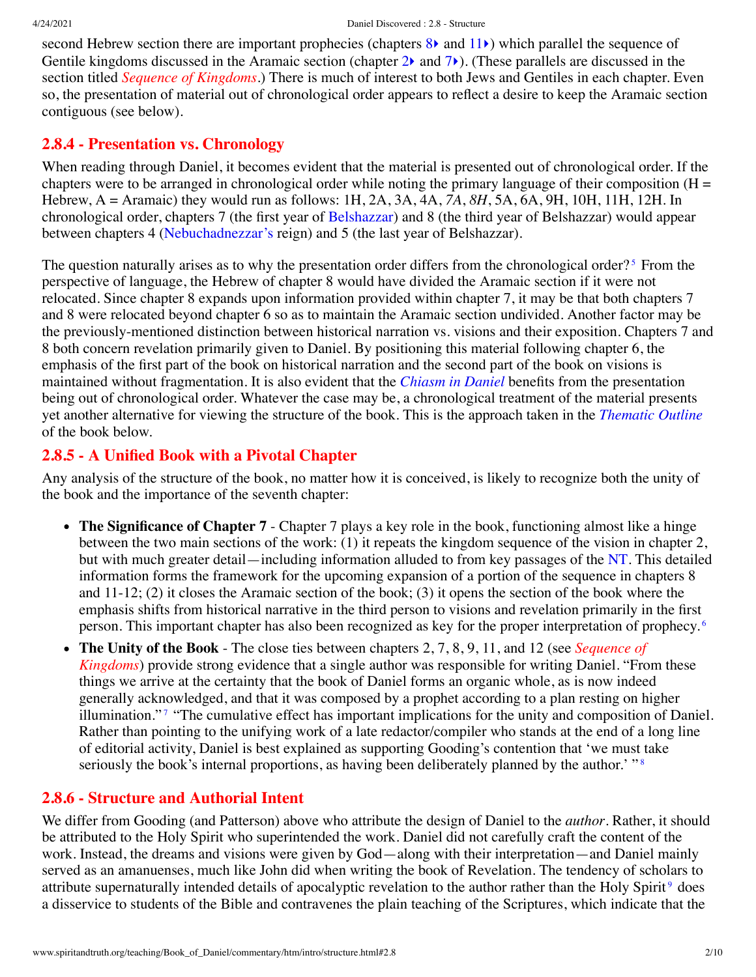second Hebrew section there are important prophecies (chapters [8](http://www.spiritandtruth.org/bibles/nasb/b27c008.htm#Dan._C8V1)) and [11](http://www.spiritandtruth.org/bibles/nasb/b27c011.htm#Dan._C11V1)) which parallel the sequence of Gentile kingdoms discussed in the Aramaic section (chapter  $2\lambda$  and  $7\lambda$  $7\lambda$ ). (These parallels are discussed in the section titled *[Sequence of Kingdoms](http://www.spiritandtruth.org/teaching/Book_of_Daniel/commentary/htm/topics/kingdoms.html#4.5)*.) There is much of interest to both Jews and Gentiles in each chapter. Even so, the presentation of material out of chronological order appears to reflect a desire to keep the Aramaic section contiguous (see below).

## <span id="page-1-0"></span>**2.8.4 - Presentation vs. Chronology**

When reading through Daniel, it becomes evident that the material is presented out of chronological order. If the chapters were to be arranged in chronological order while noting the primary language of their composition  $(H =$ Hebrew, A = Aramaic) they would run as follows: 1H, 2A, 3A, 4A, *7A*, *8H*, 5A, 6A, 9H, 10H, 11H, 12H. In chronological order, chapters 7 (the first year of [Belshazzar\)](http://www.spiritandtruth.org/teaching/Book_of_Daniel/commentary/htm/glossary.html#5.2.11) and 8 (the third year of Belshazzar) would appear between chapters 4 ([Nebuchadnezzar's](http://www.spiritandtruth.org/teaching/Book_of_Daniel/commentary/htm/glossary.html#5.2.63) reign) and 5 (the last year of Belshazzar).

<span id="page-1-3"></span>The question naturally arises as to why the presentation order differs from the chronological order?<sup>[5](#page-8-3)</sup> From the perspective of language, the Hebrew of chapter 8 would have divided the Aramaic section if it were not relocated. Since chapter 8 expands upon information provided within chapter 7, it may be that both chapters 7 and 8 were relocated beyond chapter 6 so as to maintain the Aramaic section undivided. Another factor may be the previously-mentioned distinction between historical narration vs. visions and their exposition. Chapters 7 and 8 both concern revelation primarily given to Daniel. By positioning this material following chapter 6, the emphasis of the first part of the book on historical narration and the second part of the book on visions is maintained without fragmentation. It is also evident that the *[Chiasm in Daniel](#page-6-0)* benefits from the presentation being out of chronological order. Whatever the case may be, a chronological treatment of the material presents yet another alternative for viewing the structure of the book. This is the approach taken in the *[Thematic Outline](#page-4-0)* of the book below.

# <span id="page-1-1"></span>**2.8.5 - A Unified Book with a Pivotal Chapter**

Any analysis of the structure of the book, no matter how it is conceived, is likely to recognize both the unity of the book and the importance of the seventh chapter:

- The Significance of Chapter 7 Chapter 7 plays a key role in the book, functioning almost like a hinge between the two main sections of the work: (1) it repeats the kingdom sequence of the vision in chapter 2, but with much greater detail—including information alluded to from key passages of the [NT](http://www.spiritandtruth.org/teaching/Book_of_Daniel/commentary/htm/glossary.html#5.2.65). This detailed information forms the framework for the upcoming expansion of a portion of the sequence in chapters 8 and 11-12; (2) it closes the Aramaic section of the book; (3) it opens the section of the book where the emphasis shifts from historical narrative in the third person to visions and revelation primarily in the first person. This important chapter has also been recognized as key for the proper interpretation of prophecy. [6](#page-8-4)
- <span id="page-1-6"></span><span id="page-1-5"></span><span id="page-1-4"></span>**The Unity of the Book** - The close ties between chapters 2, 7, 8, 9, 11, and 12 (see *Sequence of*  $\bullet$ *Kingdoms*[\) provide strong evidence that a single author was responsible for writing Daniel. "Fro](http://www.spiritandtruth.org/teaching/Book_of_Daniel/commentary/htm/topics/kingdoms.html#4.5)m these things we arrive at the certainty that the book of Daniel forms an organic whole, as is now indeed generally acknowledged, and that it was composed by a prophet according to a plan resting on higher illumination." [7](#page-8-5) "The cumulative effect has important implications for the unity and composition of Daniel. Rather than pointing to the unifying work of a late redactor/compiler who stands at the end of a long line of editorial activity, Daniel is best explained as supporting Gooding's contention that 'we must take seriously the book's internal proportions, as having been deliberately planned by the author.' "<sup>[8](#page-8-6)</sup>

# <span id="page-1-2"></span>**2.8.6 - Structure and Authorial Intent**

<span id="page-1-7"></span>We differ from Gooding (and Patterson) above who attribute the design of Daniel to the *author*. Rather, it should be attributed to the Holy Spirit who superintended the work. Daniel did not carefully craft the content of the work. Instead, the dreams and visions were given by God—along with their interpretation—and Daniel mainly served as an amanuenses, much like John did when writing the book of Revelation. The tendency of scholars to attribute supernaturally intended details of apocalyptic revelation to the author rather than the Holy Spirit<sup>[9](#page-8-7)</sup> does a disservice to students of the Bible and contravenes the plain teaching of the Scriptures, which indicate that the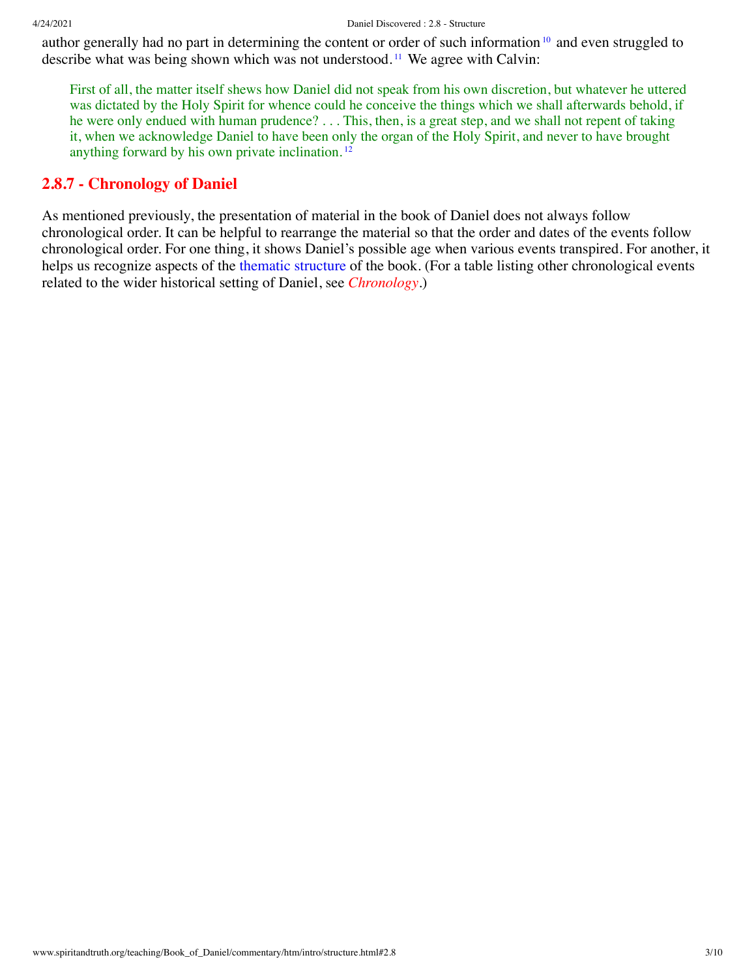author generally had no part in determining the content or order of such information <sup>[10](#page-8-8)</sup> and even struggled to describe what was being shown which was not understood. [11](#page-8-9) We agree with Calvin:

<span id="page-2-3"></span><span id="page-2-2"></span><span id="page-2-1"></span>First of all, the matter itself shews how Daniel did not speak from his own discretion, but whatever he uttered was dictated by the Holy Spirit for whence could he conceive the things which we shall afterwards behold, if he were only endued with human prudence? . . . This, then, is a great step, and we shall not repent of taking it, when we acknowledge Daniel to have been only the organ of the Holy Spirit, and never to have brought anything forward by his own private inclination. [12](#page-8-10)

## <span id="page-2-0"></span>**2.8.7 - Chronology of Daniel**

As mentioned previously, the presentation of material in the book of Daniel does not always follow chronological order. It can be helpful to rearrange the material so that the order and dates of the events follow chronological order. For one thing, it shows Daniel's possible age when various events transpired. For another, it helps us recognize aspects of the [thematic structure](#page-4-0) of the book. (For a table listing other chronological events related to the wider historical setting of Daniel, see *[Chronology](http://www.spiritandtruth.org/teaching/Book_of_Daniel/commentary/htm/topics/chronology.html#4.2)*.)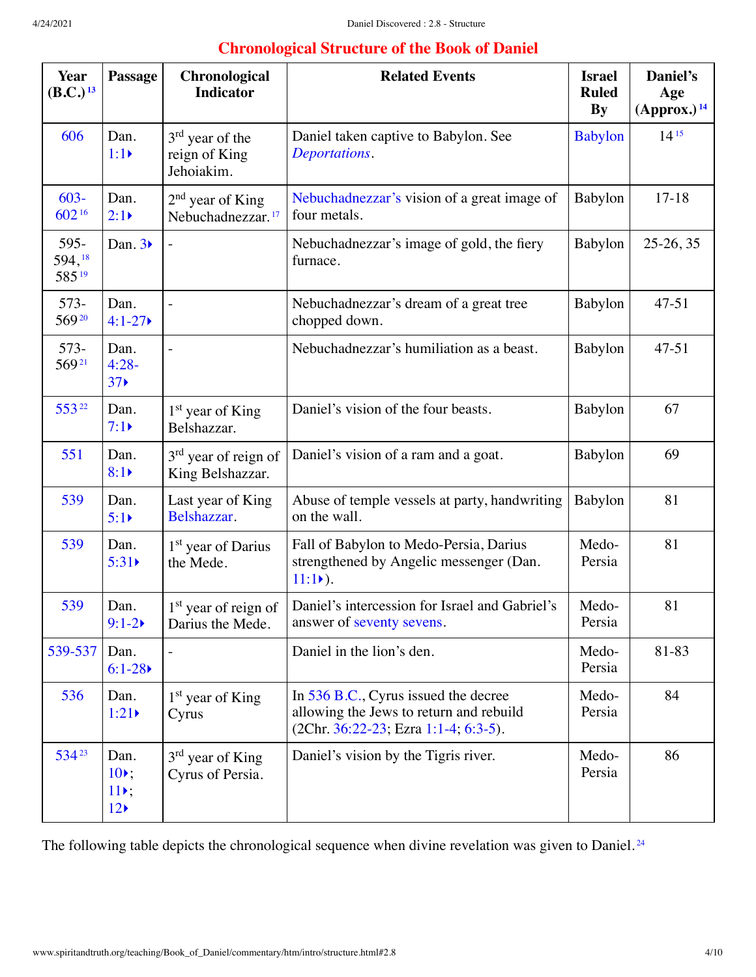# <span id="page-3-4"></span><span id="page-3-2"></span><span id="page-3-1"></span>**Chronological Structure of the Book of Daniel**

<span id="page-3-9"></span><span id="page-3-8"></span><span id="page-3-7"></span><span id="page-3-6"></span><span id="page-3-5"></span><span id="page-3-3"></span><span id="page-3-0"></span>

| <b>Year</b><br>(B.C.) <sup>13</sup> | Passage                                              | Chronological<br><b>Indicator</b>                    | <b>Related Events</b>                                                                                                   | <b>Israel</b><br><b>Ruled</b><br><b>By</b> | Daniel's<br>Age<br>$(Approx.)$ <sup>14</sup> |
|-------------------------------------|------------------------------------------------------|------------------------------------------------------|-------------------------------------------------------------------------------------------------------------------------|--------------------------------------------|----------------------------------------------|
| 606                                 | Dan.<br>$1:1 \triangleright$                         | $3rd$ year of the<br>reign of King<br>Jehoiakim.     | Daniel taken captive to Babylon. See<br>Deportations.                                                                   | <b>Babylon</b>                             | $14^{15}$                                    |
| $603 -$<br>60216                    | Dan.<br>$2:1\triangleright$                          | $2nd$ year of King<br>Nebuchadnezzar. <sup>17</sup>  | Nebuchadnezzar's vision of a great image of<br>four metals.                                                             | Babylon                                    | $17 - 18$                                    |
| 595-<br>594, 18<br>58519            | Dan. $3\blacktriangleright$                          |                                                      | Nebuchadnezzar's image of gold, the fiery<br>furnace.                                                                   | Babylon                                    | $25-26, 35$                                  |
| 573-<br>56920                       | Dan.<br>$4:1 - 27$                                   |                                                      | Nebuchadnezzar's dream of a great tree<br>chopped down.                                                                 | Babylon                                    | $47 - 51$                                    |
| 573-<br>56921                       | Dan.<br>$4:28-$<br>37 <sub>0</sub>                   |                                                      | Nebuchadnezzar's humiliation as a beast.                                                                                | Babylon                                    | $47 - 51$                                    |
| 55322                               | Dan.<br>$7:1\blacktriangleright$                     | 1 <sup>st</sup> year of King<br>Belshazzar.          | Daniel's vision of the four beasts.                                                                                     | Babylon                                    | 67                                           |
| 551                                 | Dan.<br>8:1                                          | 3 <sup>rd</sup> year of reign of<br>King Belshazzar. | Daniel's vision of a ram and a goat.                                                                                    | Babylon                                    | 69                                           |
| 539                                 | Dan.<br>5:1                                          | Last year of King<br>Belshazzar.                     | Abuse of temple vessels at party, handwriting<br>on the wall.                                                           | Babylon                                    | 81                                           |
| 539                                 | Dan.<br>5:31                                         | 1 <sup>st</sup> year of Darius<br>the Mede.          | Fall of Babylon to Medo-Persia, Darius<br>strengthened by Angelic messenger (Dan.<br>$11:1)$ .                          | Medo-<br>Persia                            | 81                                           |
| 539                                 | Dan.<br>$9:1 - 2$                                    | 1 <sup>st</sup> year of reign of<br>Darius the Mede. | Daniel's intercession for Israel and Gabriel's<br>answer of seventy sevens.                                             | Medo-<br>Persia                            | 81                                           |
| 539-537                             | Dan.<br>$6:1-28$                                     |                                                      | Daniel in the lion's den.                                                                                               | Medo-<br>Persia                            | 81-83                                        |
| 536                                 | Dan.<br>1:21                                         | 1 <sup>st</sup> year of King<br>Cyrus                | In 536 B.C., Cyrus issued the decree<br>allowing the Jews to return and rebuild<br>(2Chr. 36:22-23; Ezra 1:1-4; 6:3-5). | Medo-<br>Persia                            | 84                                           |
| 53423                               | Dan.<br>$10$ .<br>$11$ ,<br>$12 \blacktriangleright$ | $3rd$ year of King<br>Cyrus of Persia.               | Daniel's vision by the Tigris river.                                                                                    | Medo-<br>Persia                            | 86                                           |

<span id="page-3-11"></span><span id="page-3-10"></span>The following table depicts the chronological sequence when divine revelation was given to Daniel.<sup>[24](#page-9-6)</sup>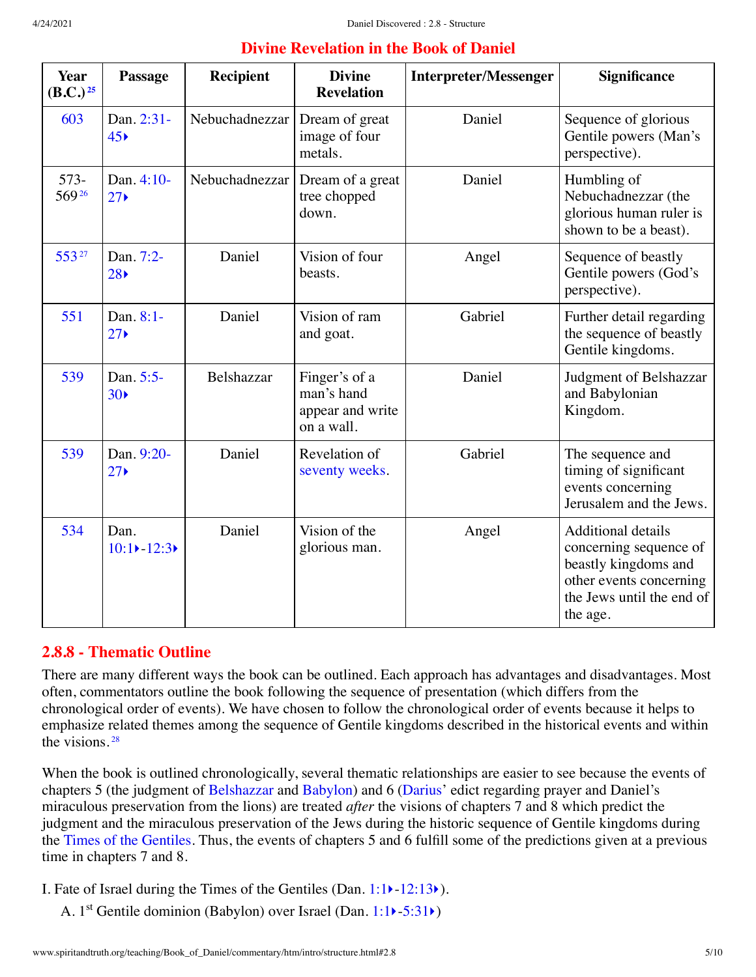| <b>Divine Revelation in the Book of Daniel</b> |  |  |  |  |
|------------------------------------------------|--|--|--|--|
|                                                |  |  |  |  |

<span id="page-4-3"></span><span id="page-4-2"></span><span id="page-4-1"></span>

| Year<br>$(B.C.)^{25}$ | Passage                                | Recipient      | <b>Divine</b><br><b>Revelation</b>                            | <b>Interpreter/Messenger</b> | <b>Significance</b>                                                                                                                             |
|-----------------------|----------------------------------------|----------------|---------------------------------------------------------------|------------------------------|-------------------------------------------------------------------------------------------------------------------------------------------------|
| 603                   | Dan. 2:31-<br>45 <sub>5</sub>          | Nebuchadnezzar | Dream of great<br>image of four<br>metals.                    | Daniel                       | Sequence of glorious<br>Gentile powers (Man's<br>perspective).                                                                                  |
| $573-$<br>56926       | Dan. 4:10-<br>$27 \blacktriangleright$ | Nebuchadnezzar | Dream of a great<br>tree chopped<br>down.                     | Daniel                       | Humbling of<br>Nebuchadnezzar (the<br>glorious human ruler is<br>shown to be a beast).                                                          |
| 55327                 | Dan. 7:2-<br>28                        | Daniel         | Vision of four<br>beasts.                                     | Angel                        | Sequence of beastly<br>Gentile powers (God's<br>perspective).                                                                                   |
| 551                   | Dan. 8:1-<br>27 <sub>0</sub>           | Daniel         | Vision of ram<br>and goat.                                    | Gabriel                      | Further detail regarding<br>the sequence of beastly<br>Gentile kingdoms.                                                                        |
| 539                   | Dan. 5:5-<br>30 <sub>0</sub>           | Belshazzar     | Finger's of a<br>man's hand<br>appear and write<br>on a wall. | Daniel                       | Judgment of Belshazzar<br>and Babylonian<br>Kingdom.                                                                                            |
| 539                   | Dan. 9:20-<br>27 <sub>0</sub>          | Daniel         | Revelation of<br>seventy weeks.                               | Gabriel                      | The sequence and<br>timing of significant<br>events concerning<br>Jerusalem and the Jews.                                                       |
| 534                   | Dan.<br>$10:1$ $-12:3$                 | Daniel         | Vision of the<br>glorious man.                                | Angel                        | <b>Additional details</b><br>concerning sequence of<br>beastly kingdoms and<br>other events concerning<br>the Jews until the end of<br>the age. |

# <span id="page-4-0"></span>**2.8.8 - Thematic Outline**

There are many different ways the book can be outlined. Each approach has advantages and disadvantages. Most often, commentators outline the book following the sequence of presentation (which differs from the chronological order of events). We have chosen to follow the chronological order of events because it helps to emphasize related themes among the sequence of Gentile kingdoms described in the historical events and within the visions. [28](#page-9-10)

<span id="page-4-4"></span>When the book is outlined chronologically, several thematic relationships are easier to see because the events of chapters 5 (the judgment of [Belshazzar](http://www.spiritandtruth.org/teaching/Book_of_Daniel/commentary/htm/glossary.html#5.2.11) and [Babylon](http://www.spiritandtruth.org/teaching/Book_of_Daniel/commentary/htm/glossary.html#5.2.9)) and 6 [\(Darius](http://www.spiritandtruth.org/teaching/Book_of_Daniel/commentary/htm/glossary.html#5.2.22)' edict regarding prayer and Daniel's miraculous preservation from the lions) are treated *after* the visions of chapters 7 and 8 which predict the judgment and the miraculous preservation of the Jews during the historic sequence of Gentile kingdoms during the [Times of the Gentiles.](http://www.spiritandtruth.org/teaching/Book_of_Daniel/commentary/htm/glossary.html#5.2.87) Thus, the events of chapters 5 and 6 fulfill some of the predictions given at a previous time in chapters 7 and 8.

I. Fate of Israel during the Times of the Gentiles (Dan. [1:1](http://www.spiritandtruth.org/bibles/nasb/b27c001.htm#Dan._C1V1)[‣](http://www.spiritandtruth.org/teaching/Book_of_Daniel/commentary/htm/chapters/01.html#3.1.1)-[12:13](http://www.spiritandtruth.org/bibles/nasb/b27c012.htm#Dan._C12V13)[‣](http://www.spiritandtruth.org/teaching/Book_of_Daniel/commentary/htm/chapters/12.html#3.12.13)).

A. 1<sup>st</sup> Gentile dominion (Babylon) over Israel (Dan. [1:1](http://www.spiritandtruth.org/bibles/nasb/b27c001.htm#Dan._C1V1)) - [5:31](http://www.spiritandtruth.org/bibles/nasb/b27c005.htm#Dan._C5V31))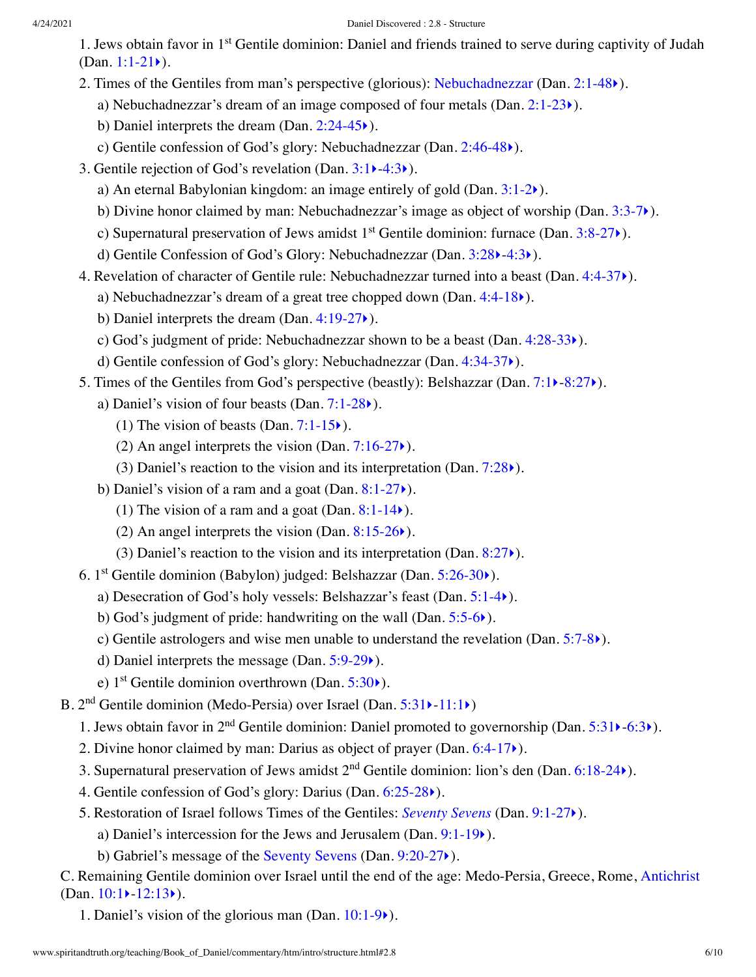- 1. Jews obtain favor in 1<sup>st</sup> Gentile dominion: Daniel and friends trained to serve during captivity of Judah (Dan.  $1:1-21$ ).
- 2. Times of the Gentiles from man's perspective (glorious): [Nebuchadnezzar](http://www.spiritandtruth.org/teaching/Book_of_Daniel/commentary/htm/glossary.html#5.2.63) (Dan. [2:1-48](http://www.spiritandtruth.org/bibles/nasb/b27c002.htm#Dan._C2V1)[‣](http://www.spiritandtruth.org/teaching/Book_of_Daniel/commentary/htm/chapters/02.html#3.2.1)).
	- a) Nebuchadnezzar's dream of an image composed of four metals  $(Dan. 2:1-23)$  $(Dan. 2:1-23)$  $(Dan. 2:1-23)$ .
	- b) Daniel interprets the dream (Dan. [2:24-45](http://www.spiritandtruth.org/bibles/nasb/b27c002.htm#Dan._C2V24)[‣](http://www.spiritandtruth.org/teaching/Book_of_Daniel/commentary/htm/chapters/02.html#3.2.24)).
	- c) Gentile confession of God's glory: Nebuchadnezzar (Dan. [2:46-48](http://www.spiritandtruth.org/bibles/nasb/b27c002.htm#Dan._C2V46)[‣](http://www.spiritandtruth.org/teaching/Book_of_Daniel/commentary/htm/chapters/02.html#3.2.46)).
- 3. Gentile rejection of God's revelation (Dan. [3:1](http://www.spiritandtruth.org/bibles/nasb/b27c003.htm#Dan._C3V1)[‣](http://www.spiritandtruth.org/teaching/Book_of_Daniel/commentary/htm/chapters/03.html#3.3.1)[-4:3](http://www.spiritandtruth.org/bibles/nasb/b27c004.htm#Dan._C4V3)[‣](http://www.spiritandtruth.org/teaching/Book_of_Daniel/commentary/htm/chapters/04.html#3.4.3)).
	- a) An eternal Babylonian kingdom: an image entirely of gold (Dan. [3:1-2](http://www.spiritandtruth.org/bibles/nasb/b27c003.htm#Dan._C3V1)[‣](http://www.spiritandtruth.org/teaching/Book_of_Daniel/commentary/htm/chapters/03.html#3.3.1)).
	- b) Divine honor claimed by man: Nebuchadnezzar's image as object of worship (Dan. [3:3-7](http://www.spiritandtruth.org/bibles/nasb/b27c003.htm#Dan._C3V3)[‣](http://www.spiritandtruth.org/teaching/Book_of_Daniel/commentary/htm/chapters/03.html#3.3.3)).
	- c) Supernatural preservation of Jews amidst  $1<sup>st</sup>$  Gentile dominion: furnace (Dan. [3:8-27](http://www.spiritandtruth.org/bibles/nasb/b27c003.htm#Dan._C3V8) $\blacktriangleright$ ).
	- d) Gentile Confession of God's Glory: Nebuchadnezzar (Dan. [3:28](http://www.spiritandtruth.org/bibles/nasb/b27c003.htm#Dan._C3V28)[‣](http://www.spiritandtruth.org/teaching/Book_of_Daniel/commentary/htm/chapters/03.html#3.3.28)-[4:3](http://www.spiritandtruth.org/bibles/nasb/b27c004.htm#Dan._C4V3)[‣](http://www.spiritandtruth.org/teaching/Book_of_Daniel/commentary/htm/chapters/04.html#3.4.3)).
- 4. Revelation of character of Gentile rule: Nebuchadnezzar turned into a beast (Dan. [4:4-37](http://www.spiritandtruth.org/bibles/nasb/b27c004.htm#Dan._C4V4)[‣](http://www.spiritandtruth.org/teaching/Book_of_Daniel/commentary/htm/chapters/04.html#3.4.4)).
	- a) Nebuchadnezzar's dream of a great tree chopped down (Dan. [4:4-18](http://www.spiritandtruth.org/bibles/nasb/b27c004.htm#Dan._C4V4) $\blacktriangleright$ ).
	- b) Daniel interprets the dream (Dan. [4:19-27](http://www.spiritandtruth.org/bibles/nasb/b27c004.htm#Dan._C4V19)[‣](http://www.spiritandtruth.org/teaching/Book_of_Daniel/commentary/htm/chapters/04.html#3.4.19)).
	- c) God's judgment of pride: Nebuchadnezzar shown to be a beast (Dan. [4:28-33](http://www.spiritandtruth.org/bibles/nasb/b27c004.htm#Dan._C4V28)[‣](http://www.spiritandtruth.org/teaching/Book_of_Daniel/commentary/htm/chapters/04.html#3.4.28)).
	- d) Gentile confession of God's glory: Nebuchadnezzar (Dan. [4:34-37](http://www.spiritandtruth.org/bibles/nasb/b27c004.htm#Dan._C4V34)[‣](http://www.spiritandtruth.org/teaching/Book_of_Daniel/commentary/htm/chapters/04.html#3.4.34)).
- 5. Times of the Gentiles from God's perspective (beastly): Belshazzar (Dan. [7:1](http://www.spiritandtruth.org/bibles/nasb/b27c007.htm#Dan._C7V1)[‣](http://www.spiritandtruth.org/teaching/Book_of_Daniel/commentary/htm/chapters/07.html#3.7.1)[-8:27](http://www.spiritandtruth.org/bibles/nasb/b27c008.htm#Dan._C8V27)[‣](http://www.spiritandtruth.org/teaching/Book_of_Daniel/commentary/htm/chapters/08.html#3.8.27)).
	- a) Daniel's vision of four beasts (Dan.  $7:1-28$ ).
		- (1) The vision of beasts (Dan.  $7:1-15$ .).
		- (2) An angel interprets the vision (Dan.  $7:16-27$ ).
		- (3) Daniel's reaction to the vision and its interpretation (Dan.  $7:28$ ).
	- b) Daniel's vision of a ram and a goat (Dan.  $8:1-27$ ).
		- (1) The vision of a ram and a goat (Dan.  $8:1-14$ ).
		- (2) An angel interprets the vision (Dan.  $8:15-26$ ).
		- (3) Daniel's reaction to the vision and its interpretation (Dan.  $8:27$ ).
- 6. 1<sup>st</sup> Gentile dominion (Babylon) judged: Belshazzar (Dan. [5:26-30](http://www.spiritandtruth.org/bibles/nasb/b27c005.htm#Dan._C5V26)<sup>\*</sup>).
	- a) Desecration of God's holy vessels: Belshazzar's feast (Dan. [5:1-4](http://www.spiritandtruth.org/bibles/nasb/b27c005.htm#Dan._C5V1)[‣](http://www.spiritandtruth.org/teaching/Book_of_Daniel/commentary/htm/chapters/05.html#3.5.1)).
	- b) God's judgment of pride: handwriting on the wall (Dan. [5:5-6](http://www.spiritandtruth.org/bibles/nasb/b27c005.htm#Dan._C5V5)[‣](http://www.spiritandtruth.org/teaching/Book_of_Daniel/commentary/htm/chapters/05.html#3.5.5)).
	- c) Gentile astrologers and wise men unable to understand the revelation (Dan.  $5:7-8$ ).
	- d) Daniel interprets the message (Dan. [5:9-29](http://www.spiritandtruth.org/bibles/nasb/b27c005.htm#Dan._C5V9)[‣](http://www.spiritandtruth.org/teaching/Book_of_Daniel/commentary/htm/chapters/05.html#3.5.9)).
	- e)  $1<sup>st</sup>$  Gentile dominion overthrown (Dan. [5:30](http://www.spiritandtruth.org/bibles/nasb/b27c005.htm#Dan._C5V30) $\blacktriangleright$ ).
- B. 2<sup>nd</sup> Gentile dominion (Medo-Persia) over Israel (Dan. [5:31](http://www.spiritandtruth.org/bibles/nasb/b27c005.htm#Dan._C5V31) > [-11:1](http://www.spiritandtruth.org/bibles/nasb/b27c011.htm#Dan._C11V1) >)
	- 1. Jews obtain favor in 2<sup>nd</sup> Gentile dominion: Daniel promoted to governorship (Dan. [5:31](http://www.spiritandtruth.org/bibles/nasb/b27c005.htm#Dan._C5V31) $\blacktriangleright$ [-6:3](http://www.spiritandtruth.org/bibles/nasb/b27c006.htm#Dan._C6V3) $\blacktriangleright$ ).
	- 2. Divine honor claimed by man: Darius as object of prayer (Dan. [6:4-17](http://www.spiritandtruth.org/bibles/nasb/b27c006.htm#Dan._C6V4)[‣](http://www.spiritandtruth.org/teaching/Book_of_Daniel/commentary/htm/chapters/06.html#3.6.4)).
	- 3. Supernatural preservation of Jews amidst  $2<sup>nd</sup>$  Gentile dominion: lion's den (Dan. [6:18-24](http://www.spiritandtruth.org/bibles/nasb/b27c006.htm#Dan._C6V18) $\blacktriangleright$ ).
	- 4. Gentile confession of God's glory: Darius (Dan. [6:25-28](http://www.spiritandtruth.org/bibles/nasb/b27c006.htm#Dan._C6V25)[‣](http://www.spiritandtruth.org/teaching/Book_of_Daniel/commentary/htm/chapters/06.html#3.6.25)).
	- 5. Restoration of Israel follows Times of the Gentiles: *[Seventy Sevens](http://www.spiritandtruth.org/teaching/Book_of_Daniel/commentary/htm/topics/seventy_sevens.html#4.6)* (Dan. [9:1-27](http://www.spiritandtruth.org/bibles/nasb/b27c009.htm#Dan._C9V1)[‣](http://www.spiritandtruth.org/teaching/Book_of_Daniel/commentary/htm/chapters/09.html#3.9.1)).
		- a) Daniel's intercession for the Jews and Jerusalem (Dan. [9:1-19](http://www.spiritandtruth.org/bibles/nasb/b27c009.htm#Dan._C9V1)[‣](http://www.spiritandtruth.org/teaching/Book_of_Daniel/commentary/htm/chapters/09.html#3.9.1)).
		- b) Gabriel's message of the [Seventy Sevens](http://www.spiritandtruth.org/teaching/Book_of_Daniel/commentary/htm/glossary.html#5.2.82) (Dan. [9:20-27](http://www.spiritandtruth.org/bibles/nasb/b27c009.htm#Dan._C9V20)[‣](http://www.spiritandtruth.org/teaching/Book_of_Daniel/commentary/htm/chapters/09.html#3.9.20)).

C. Remaining Gentile dominion over Israel until the end of the age: Medo-Persia, Greece, Rome, [Antichrist](http://www.spiritandtruth.org/teaching/Book_of_Daniel/commentary/htm/glossary.html#5.2.5) (Dan.  $10:1$  –  $12:13$ ).

1. Daniel's vision of the glorious man (Dan. [10:1-9](http://www.spiritandtruth.org/bibles/nasb/b27c010.htm#Dan._C10V1)[‣](http://www.spiritandtruth.org/teaching/Book_of_Daniel/commentary/htm/chapters/10.html#3.10.1)).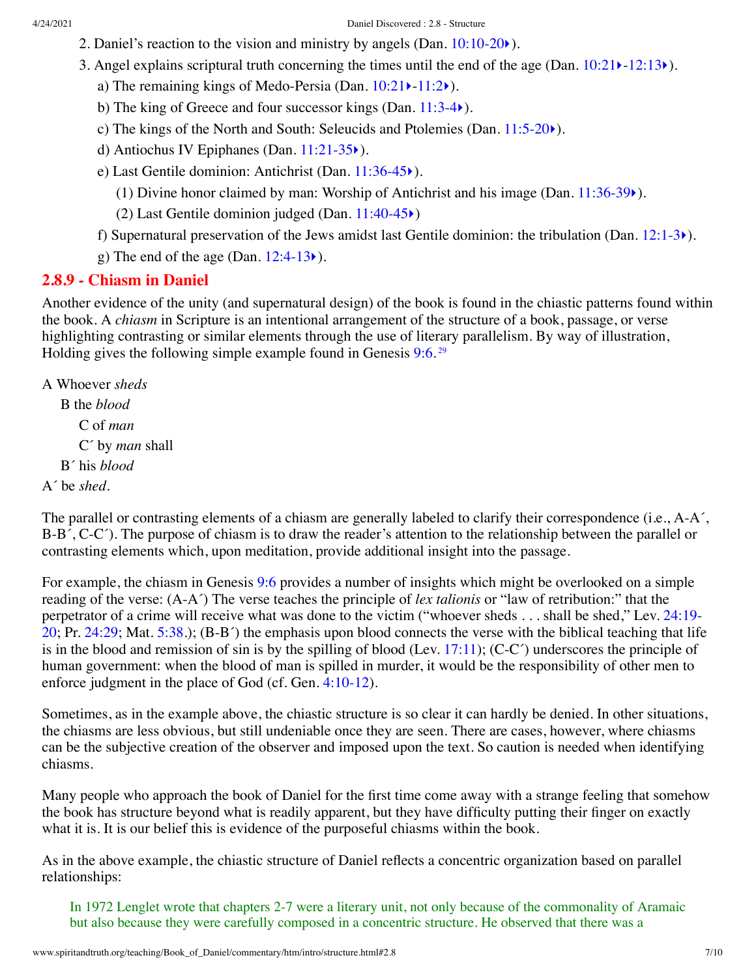- 2. Daniel's reaction to the vision and ministry by angels (Dan.  $10:10-20$ ).
- 3. Angel explains scriptural truth concerning the times until the end of the age (Dan.  $10:21 \rightarrow 12:13 \rightarrow$  $10:21 \rightarrow 12:13 \rightarrow$  $10:21 \rightarrow 12:13 \rightarrow$  $10:21 \rightarrow 12:13 \rightarrow$ ).
	- a) The remaining kings of Medo-Persia (Dan.  $10:21$ )- $11:2$ ).
	- b) The king of Greece and four successor kings (Dan. [11:3-4](http://www.spiritandtruth.org/bibles/nasb/b27c011.htm#Dan._C11V3) $\blacktriangleright$ ).
	- c) The kings of the North and South: Seleucids and Ptolemies (Dan. [11:5-20](http://www.spiritandtruth.org/bibles/nasb/b27c011.htm#Dan._C11V5)[‣](http://www.spiritandtruth.org/teaching/Book_of_Daniel/commentary/htm/chapters/11.html#3.11.5)).
	- d) Antiochus IV Epiphanes (Dan. [11:21-35](http://www.spiritandtruth.org/bibles/nasb/b27c011.htm#Dan._C11V21)[‣](http://www.spiritandtruth.org/teaching/Book_of_Daniel/commentary/htm/chapters/11.html#3.11.21)).
	- e) Last Gentile dominion: Antichrist (Dan. [11:36-45](http://www.spiritandtruth.org/bibles/nasb/b27c011.htm#Dan._C11V36)[‣](http://www.spiritandtruth.org/teaching/Book_of_Daniel/commentary/htm/chapters/11.html#3.11.36)).
		- (1) Divine honor claimed by man: Worship of Antichrist and his image (Dan.  $11:36-39$ ).
		- (2) Last Gentile dominion judged (Dan. [11:40-45](http://www.spiritandtruth.org/bibles/nasb/b27c011.htm#Dan._C11V40)[‣](http://www.spiritandtruth.org/teaching/Book_of_Daniel/commentary/htm/chapters/11.html#3.11.40))
	- f) Supernatural preservation of the Jews amidst last Gentile dominion: the tribulation (Dan.  $12:1-3)$  $12:1-3)$ ).
	- g) The end of the age (Dan.  $12:4-13$ ).

### <span id="page-6-0"></span>**2.8.9 - Chiasm in Daniel**

Another evidence of the unity (and supernatural design) of the book is found in the chiastic patterns found within the book. A *chiasm* in Scripture is an intentional arrangement of the structure of a book, passage, or verse highlighting contrasting or similar elements through the use of literary parallelism. By way of illustration, Holding gives the following simple example found in Genesis [9:6.](http://www.spiritandtruth.org/bibles/nasb/b01c009.htm#Gen._C9V6)<sup>[29](#page-9-11)</sup>

<span id="page-6-1"></span>A Whoever *sheds*

B the *blood* C of *man* C´ by *man* shall B´ his *blood* A´ be *shed*.

The parallel or contrasting elements of a chiasm are generally labeled to clarify their correspondence (i.e., A-A<sup>'</sup>, B-B´, C-C´). The purpose of chiasm is to draw the reader's attention to the relationship between the parallel or contrasting elements which, upon meditation, provide additional insight into the passage.

For example, the chiasm in Genesis [9:6](http://www.spiritandtruth.org/bibles/nasb/b01c009.htm#Gen._C9V6) provides a number of insights which might be overlooked on a simple reading of the verse: (A-A´) The verse teaches the principle of *lex talionis* or "law of retribution:" that the [perpetrator of a crime will receive what was done to the victim \("whoever sheds . . . shall be shed," Lev. 24:19-](http://www.spiritandtruth.org/bibles/nasb/b03c024.htm#Lev._C24V19) 20; Pr. [24:29;](http://www.spiritandtruth.org/bibles/nasb/b20c024.htm#Pr._C24V29) Mat. [5:38.](http://www.spiritandtruth.org/bibles/nasb/b40c005.htm#Mat._C5V38)); (B-B´) the emphasis upon blood connects the verse with the biblical teaching that life is in the blood and remission of sin is by the spilling of blood (Lev. [17:11](http://www.spiritandtruth.org/bibles/nasb/b03c017.htm#Lev._C17V11)); (C-C $\degree$ ) underscores the principle of human government: when the blood of man is spilled in murder, it would be the responsibility of other men to enforce judgment in the place of God (cf. Gen. [4:10-12](http://www.spiritandtruth.org/bibles/nasb/b01c004.htm#Gen._C4V10)).

Sometimes, as in the example above, the chiastic structure is so clear it can hardly be denied. In other situations, the chiasms are less obvious, but still undeniable once they are seen. There are cases, however, where chiasms can be the subjective creation of the observer and imposed upon the text. So caution is needed when identifying chiasms.

Many people who approach the book of Daniel for the first time come away with a strange feeling that somehow the book has structure beyond what is readily apparent, but they have difficulty putting their finger on exactly what it is. It is our belief this is evidence of the purposeful chiasms within the book.

As in the above example, the chiastic structure of Daniel reflects a concentric organization based on parallel relationships:

In 1972 Lenglet wrote that chapters 2-7 were a literary unit, not only because of the commonality of Aramaic but also because they were carefully composed in a concentric structure. He observed that there was a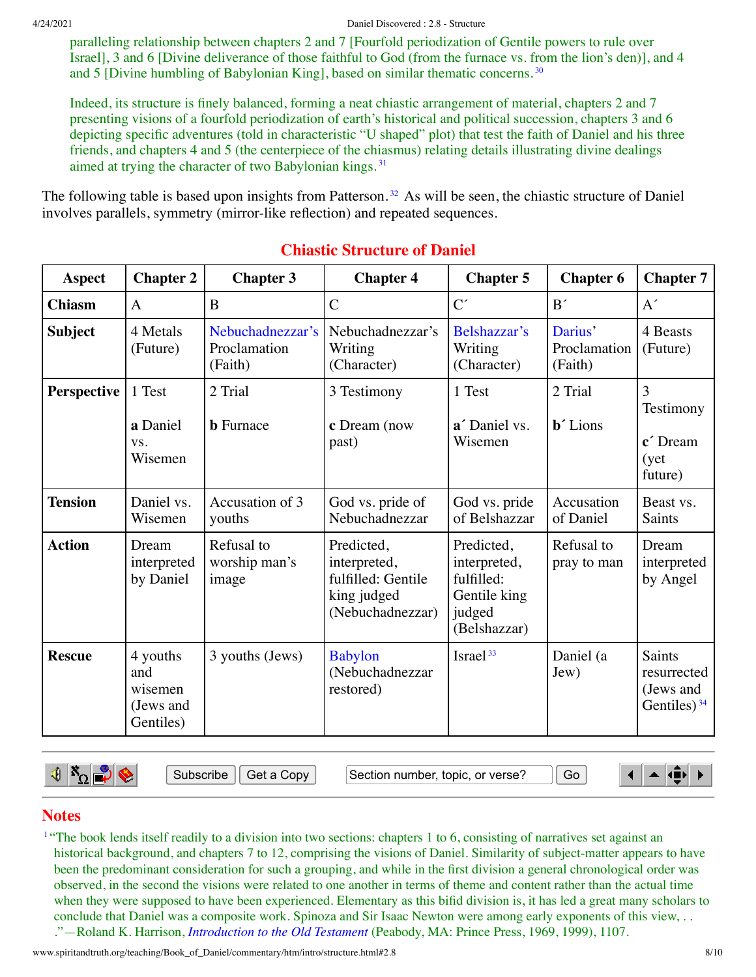paralleling relationship between chapters 2 and 7 [Fourfold periodization of Gentile powers to rule over Israel], 3 and 6 [Divine deliverance of those faithful to God (from the furnace vs. from the lion's den)], and 4 and 5 [Divine humbling of Babylonian King], based on similar thematic concerns. [30](#page-9-12)

Indeed, its structure is finely balanced, forming a neat chiastic arrangement of material, chapters 2 and 7 presenting visions of a fourfold periodization of earth's historical and political succession, chapters 3 and 6 depicting specific adventures (told in characteristic "U shaped" plot) that test the faith of Daniel and his three friends, and chapters 4 and 5 (the centerpiece of the chiasmus) relating details illustrating divine dealings aimed at trying the character of two Babylonian kings. [31](#page-9-13)

The following table is based upon insights from Patterson.<sup>[32](#page-9-14)</sup> As will be seen, the chiastic structure of Daniel involves parallels, symmetry (mirror-like reflection) and repeated sequences.

| <b>Aspect</b>  | <b>Chapter 2</b>                                     | <b>Chapter 3</b>                            | <b>Chapter 4</b>                                                                    | <b>Chapter 5</b>                                                                   | <b>Chapter 6</b>                       | <b>Chapter 7</b>                                     |
|----------------|------------------------------------------------------|---------------------------------------------|-------------------------------------------------------------------------------------|------------------------------------------------------------------------------------|----------------------------------------|------------------------------------------------------|
| <b>Chiasm</b>  | $\mathbf{A}$                                         | B                                           | $\overline{C}$                                                                      | $C^{\prime}$                                                                       | B'                                     | A'                                                   |
| <b>Subject</b> | 4 Metals<br>(Future)                                 | Nebuchadnezzar's<br>Proclamation<br>(Faith) | Nebuchadnezzar's<br>Writing<br>(Character)                                          | Belshazzar's<br>Writing<br>(Character)                                             | Darius'<br>Proclamation<br>(Faith)     | 4 Beasts<br>(Future)                                 |
| Perspective    | 1 Test<br>a Daniel<br>VS.<br>Wisemen                 | 2 Trial<br><b>b</b> Furnace                 | 3 Testimony<br>c Dream (now<br>past)                                                | 1 Test<br>a' Daniel vs.<br>Wisemen                                                 | 2 Trial<br><b>b</b> <sup>2</sup> Lions | 3<br>Testimony<br>c' Dream<br>(yet)<br>future)       |
| <b>Tension</b> | Daniel vs.<br>Wisemen                                | Accusation of 3<br>youths                   | God vs. pride of<br>Nebuchadnezzar                                                  | God vs. pride<br>of Belshazzar                                                     | Accusation<br>of Daniel                | Beast vs.<br>Saints                                  |
| <b>Action</b>  | Dream<br>interpreted<br>by Daniel                    | Refusal to<br>worship man's<br>image        | Predicted,<br>interpreted,<br>fulfilled: Gentile<br>king judged<br>(Nebuchadnezzar) | Predicted,<br>interpreted,<br>fulfilled:<br>Gentile king<br>judged<br>(Belshazzar) | Refusal to<br>pray to man              | Dream<br>interpreted<br>by Angel                     |
| <b>Rescue</b>  | 4 youths<br>and<br>wisemen<br>(Jews and<br>Gentiles) | 3 youths (Jews)                             | <b>Babylon</b><br>(Nebuchadnezzar<br>restored)                                      | Israel <sup>33</sup>                                                               | Daniel (a<br>Jew)                      | Saints<br>resurrected<br>(Jews and<br>Gentiles) $34$ |

# <span id="page-7-3"></span><span id="page-7-2"></span><span id="page-7-1"></span>**Chiastic Structure of Daniel**

 $\mathbf{E} \times_{\Omega}$ 

Subscribe || Get a Copy | Gection number, topic, or verse? || Go

<span id="page-7-5"></span><span id="page-7-4"></span> $\blacktriangle$  (i)  $\blacksquare$ 

### **Notes**

<span id="page-7-0"></span><sup>[1](#page-0-3)</sup> "The book lends itself readily to a division into two sections: chapters 1 to 6, consisting of narratives set against an historical background, and chapters 7 to 12, comprising the visions of Daniel. Similarity of subject-matter appears to have been the predominant consideration for such a grouping, and while in the first division a general chronological order was observed, in the second the visions were related to one another in terms of theme and content rather than the actual time when they were supposed to have been experienced. Elementary as this bifid division is, it has led a great many scholars to conclude that Daniel was a composite work. Spinoza and Sir Isaac Newton were among early exponents of this view, . . ."—Roland K. Harrison, *[Introduction](http://www.spiritandtruth.org/teaching/Book_of_Daniel/commentary/htm/bibliography.html#69544) to the Old Testament* (Peabody, MA: Prince Press, 1969, 1999), 1107.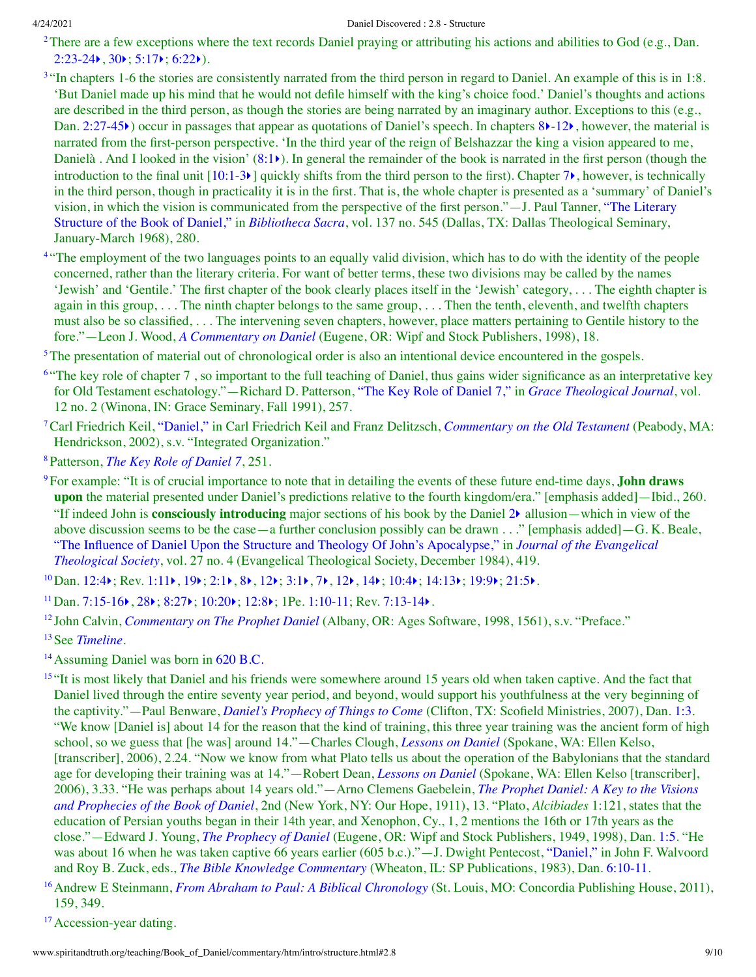<span id="page-8-0"></span><sup>[2](#page-0-4)</sup>There are a few exceptions where the text records Daniel praying or attributing his actions and abilities to God (e.g., Dan.  $2:23-24$ ,  $30$ ;  $5:17$ ;  $6:22$ ).

- <span id="page-8-1"></span><sup>[3](#page-0-5)</sup> "In chapters 1-6 the stories are consistently narrated from the third person in regard to Daniel. An example of this is in 1:8. 'But Daniel made up his mind that he would not defile himself with the king's choice food.' Daniel's thoughts and actions are described in the third person, as though the stories are being narrated by an imaginary author. Exceptions to this (e.g., Dan. [2:27-45](http://www.spiritandtruth.org/bibles/nasb/b27c002.htm#Dan._C2V27) $\blacktriangleright$ ) occur in passages that appear as quotations of Daniel's speech. In chapters [8](http://www.spiritandtruth.org/bibles/nasb/b27c008.htm#Dan._C8V1) $\blacktriangleright$ [-12](http://www.spiritandtruth.org/bibles/nasb/b27c012.htm#Dan._C12V1) $\blacktriangleright$ , however, the material is narrated from the first-person perspective. 'In the third year of the reign of Belshazzar the king a vision appeared to me, Danielà. And I looked in the vision'  $(8:1)$  $(8:1)$  $(8:1)$ ). In general the remainder of the book is narrated in the first person (though the introduction to the final unit  $[10:1-3)$  $[10:1-3)$  quickly shifts from the third person to the first). Chapter  $7\epsilon$  $7\epsilon$ , however, is technically in the third person, though in practicality it is in the first. That is, the whole chapter is presented as a 'summary' of Daniel's vision, in which the vision is [communicated](http://www.spiritandtruth.org/teaching/Book_of_Daniel/commentary/htm/bibliography.html#69769) from the perspective of the first person."—J. Paul Tanner, "The Literary Structure of the Book of Daniel," in *[Bibliotheca](http://www.spiritandtruth.org/teaching/Book_of_Daniel/commentary/htm/bibliography.html#69419) Sacra*, vol. 137 no. 545 (Dallas, TX: Dallas Theological Seminary, January-March 1968), 280.
- <span id="page-8-2"></span><sup>[4](#page-0-6)</sup> "The employment of the two languages points to an equally valid division, which has to do with the identity of the people concerned, rather than the literary criteria. For want of better terms, these two divisions may be called by the names 'Jewish' and 'Gentile.' The first chapter of the book clearly places itself in the 'Jewish' category, . . . The eighth chapter is again in this group, . . . The ninth chapter belongs to the same group, . . . Then the tenth, eleventh, and twelfth chapters must also be so classified, . . . The intervening seven chapters, however, place matters pertaining to Gentile history to the fore."—Leon J. Wood, *A [Commentary](http://www.spiritandtruth.org/teaching/Book_of_Daniel/commentary/htm/bibliography.html#69834) on Daniel* (Eugene, OR: Wipf and Stock Publishers, 1998), 18.

<span id="page-8-3"></span><sup>[5](#page-1-3)</sup>The presentation of material out of chronological order is also an intentional device encountered in the gospels.

- <span id="page-8-4"></span><sup>[6](#page-1-4) "</sup>The key role of chapter 7, so important to the full teaching of Daniel, thus gains wider significance as an interpretative key for Old Testament eschatology."—Richard D. Patterson, "The Key Role of [Daniel](http://www.spiritandtruth.org/teaching/Book_of_Daniel/commentary/htm/bibliography.html#69702) 7," in *Grace [Theological](http://www.spiritandtruth.org/teaching/Book_of_Daniel/commentary/htm/bibliography.html#69539) Journal*, vol. 12 no. 2 (Winona, IN: Grace Seminary, Fall 1991), 257.
- <span id="page-8-5"></span>[7](#page-1-5)Carl Friedrich Keil, ["Daniel,"](http://www.spiritandtruth.org/teaching/Book_of_Daniel/commentary/htm/bibliography.html#69609) in Carl Friedrich Keil and Franz Delitzsch, *[Commentary](http://www.spiritandtruth.org/teaching/Book_of_Daniel/commentary/htm/bibliography.html#69607) on the Old Testament* (Peabody, MA: Hendrickson, 2002), s.v. "Integrated Organization."
- <span id="page-8-6"></span>[8](#page-1-6)Patterson, *The Key Role of [Daniel](http://www.spiritandtruth.org/teaching/Book_of_Daniel/commentary/htm/bibliography.html#69702) 7*, 251.
- <span id="page-8-7"></span>[9](#page-1-7)For example: "It is of crucial importance to note that in detailing the events of these future end-time days, **John draws upon** the material presented under Daniel's predictions relative to the fourth kingdom/era." [emphasis added]—Ibid., 260. "If indeed John is **consciously introducing** major sections of his book by the Daniel [2](http://www.spiritandtruth.org/bibles/nasb/b27c002.htm#Dan._C2V1)[‣](http://www.spiritandtruth.org/teaching/Book_of_Daniel/commentary/htm/chapters/02.html#3.2.1) allusion—which in view of the above discussion seems to be the case—a further conclusion possibly can be drawn . . ." [emphasis added]—G. K. Beale, "The Influence of Daniel Upon the Structure and Theology Of John's [Apocalypse,"](http://www.spiritandtruth.org/teaching/Book_of_Daniel/commentary/htm/bibliography.html#69588) in *Journal of the Evangelical Theological Society*, vol. 27 no. 4 (Evangelical Theological Society, December 1984), 419.
- <span id="page-8-8"></span> $^{10}$  $^{10}$  $^{10}$ Dan. [12:4](http://www.spiritandtruth.org/bibles/nasb/b27c012.htm#Dan._C12V4) $\rangle$ ; Rev. [1:11](http://www.spiritandtruth.org/bibles/nasb/b66c001.htm#Rev._C1V11) $\rangle$ , [19](http://www.spiritandtruth.org/bibles/nasb/b66c001.htm#Rev._C1V19) $\rangle$ ; [2:1](http://www.spiritandtruth.org/bibles/nasb/b66c002.htm#Rev._C2V1) $\rangle$ , [8](http://www.spiritandtruth.org/bibles/nasb/b66c002.htm#Rev._C2V8) $\rangle$ , [12](http://www.spiritandtruth.org/bibles/nasb/b66c003.htm#Rev._C3V12) $\rangle$ ; [3:1](http://www.spiritandtruth.org/bibles/nasb/b66c003.htm#Rev._C3V1) $\rangle$ , [7](http://www.spiritandtruth.org/bibles/nasb/b66c003.htm#Rev._C3V7) $\rangle$ , 12 $\rangle$ , [14](http://www.spiritandtruth.org/bibles/nasb/b66c003.htm#Rev._C3V14) $\rangle$ ; [10:4](http://www.spiritandtruth.org/bibles/nasb/b66c010.htm#Rev._C10V4) $\rangle$ ; [14:13](http://www.spiritandtruth.org/bibles/nasb/b66c014.htm#Rev._C14V13) $\rangle$ ; [19:9](http://www.spiritandtruth.org/bibles/nasb/b66c019.htm#Rev._C19V9) $\rangle$ ; [21:5](http://www.spiritandtruth.org/bibles/nasb/b66c021.htm#Rev._C21V5) $\rangle$ .
- <span id="page-8-9"></span><sup>[11](#page-2-2)</sup> Dan. [7:15-16](http://www.spiritandtruth.org/bibles/nasb/b27c007.htm#Dan._C7V15) $\blacktriangleright$ , [28](http://www.spiritandtruth.org/bibles/nasb/b27c007.htm#Dan._C7V28) $\blacktriangleright$ ; [8:27](http://www.spiritandtruth.org/bibles/nasb/b27c008.htm#Dan._C8V27) $\blacktriangleright$ ; [10:20](http://www.spiritandtruth.org/bibles/nasb/b27c010.htm#Dan._C10V20) $\blacktriangleright$ ; [12:8](http://www.spiritandtruth.org/bibles/nasb/b27c012.htm#Dan._C12V8) $\blacktriangleright$ ; 1Pe. [1:10-11](http://www.spiritandtruth.org/bibles/nasb/b60c001.htm#1Pe._C1V10); Rev. [7:13-14](http://www.spiritandtruth.org/bibles/nasb/b66c007.htm#Rev._C7V13) $\blacktriangleright$ .
- <span id="page-8-10"></span>[12](#page-2-3) John Calvin, *[Commentary](http://www.spiritandtruth.org/teaching/Book_of_Daniel/commentary/htm/bibliography.html#69435) on The Prophet Daniel* (Albany, OR: Ages Software, 1998, 1561), s.v. "Preface."
- <span id="page-8-11"></span>[13](#page-3-0)See *[Timeline](http://www.spiritandtruth.org/teaching/Book_of_Daniel/commentary/htm/topics/chronology.html#4.2.4)*.
- <span id="page-8-12"></span><sup>[14](#page-3-1)</sup> Assuming Daniel was born in 620 [B.C.](http://www.spiritandtruth.org/teaching/Book_of_Daniel/commentary/htm/topics/chronology.html#52735)

<span id="page-8-13"></span><sup>&</sup>lt;sup>[15](#page-3-2)</sup> "It is most likely that Daniel and his friends were somewhere around 15 years old when taken captive. And the fact that Daniel lived through the entire seventy year period, and beyond, would support his youthfulness at the very beginning of the captivity."—Paul Benware, *Daniel's [Prophecy](http://www.spiritandtruth.org/teaching/Book_of_Daniel/commentary/htm/bibliography.html#69391) of Things to Come* (Clifton, TX: Scofield Ministries, 2007), Dan. [1:3](http://www.spiritandtruth.org/bibles/nasb/b27c001.htm#Dan._C1V3). "We know [Daniel is] about 14 for the reason that the kind of training, this three year training was the ancient form of high school, so we guess that [he was] around 14."—Charles Clough, *[Lessons](http://www.spiritandtruth.org/teaching/Book_of_Daniel/commentary/htm/bibliography.html#69451) on Daniel* (Spokane, WA: Ellen Kelso, [transcriber], 2006), 2.24. "Now we know from what Plato tells us about the operation of the Babylonians that the standard age for developing their training was at 14."—Robert Dean, *[Lessons](http://www.spiritandtruth.org/teaching/Book_of_Daniel/commentary/htm/bibliography.html#69467) on Daniel* (Spokane, WA: Ellen Kelso [transcriber], 2006), 3.33. "He was perhaps about 14 years [old."—Arno](http://www.spiritandtruth.org/teaching/Book_of_Daniel/commentary/htm/bibliography.html#69520) Clemens Gaebelein, *The Prophet Daniel: A Key to the Visions and Prophecies of the Book of Daniel*, 2nd (New York, NY: Our Hope, 1911), 13. "Plato, *Alcibiades* 1:121, states that the education of Persian youths began in their 14th year, and Xenophon, Cy., 1, 2 mentions the 16th or 17th years as the close."—Edward J. Young, *The [Prophecy](http://www.spiritandtruth.org/teaching/Book_of_Daniel/commentary/htm/bibliography.html#69853) of Daniel* (Eugene, OR: Wipf and Stock Publishers, 1949, 1998), Dan. [1:5](http://www.spiritandtruth.org/bibles/nasb/b27c001.htm#Dan._C1V5). "He was about 16 when he was taken captive 66 years earlier (605 b.c.)."—J. Dwight Pentecost, ["Daniel,"](http://www.spiritandtruth.org/teaching/Book_of_Daniel/commentary/htm/bibliography.html#69706) in John F. Walvoord and Roy B. Zuck, eds., *The Bible Knowledge [Commentary](http://www.spiritandtruth.org/teaching/Book_of_Daniel/commentary/htm/bibliography.html#69398)* (Wheaton, IL: SP Publications, 1983), Dan. [6:10-11.](http://www.spiritandtruth.org/bibles/nasb/b27c006.htm#Dan._C6V10)

<span id="page-8-14"></span>[<sup>16</sup>](#page-3-3)Andrew E Steinmann, *From Abraham to Paul: A Biblical [Chronology](http://www.spiritandtruth.org/teaching/Book_of_Daniel/commentary/htm/bibliography.html#69760)* (St. Louis, MO: Concordia Publishing House, 2011), 159, 349.

<span id="page-8-15"></span><sup>&</sup>lt;sup>[17](#page-3-4)</sup> Accession-year dating.